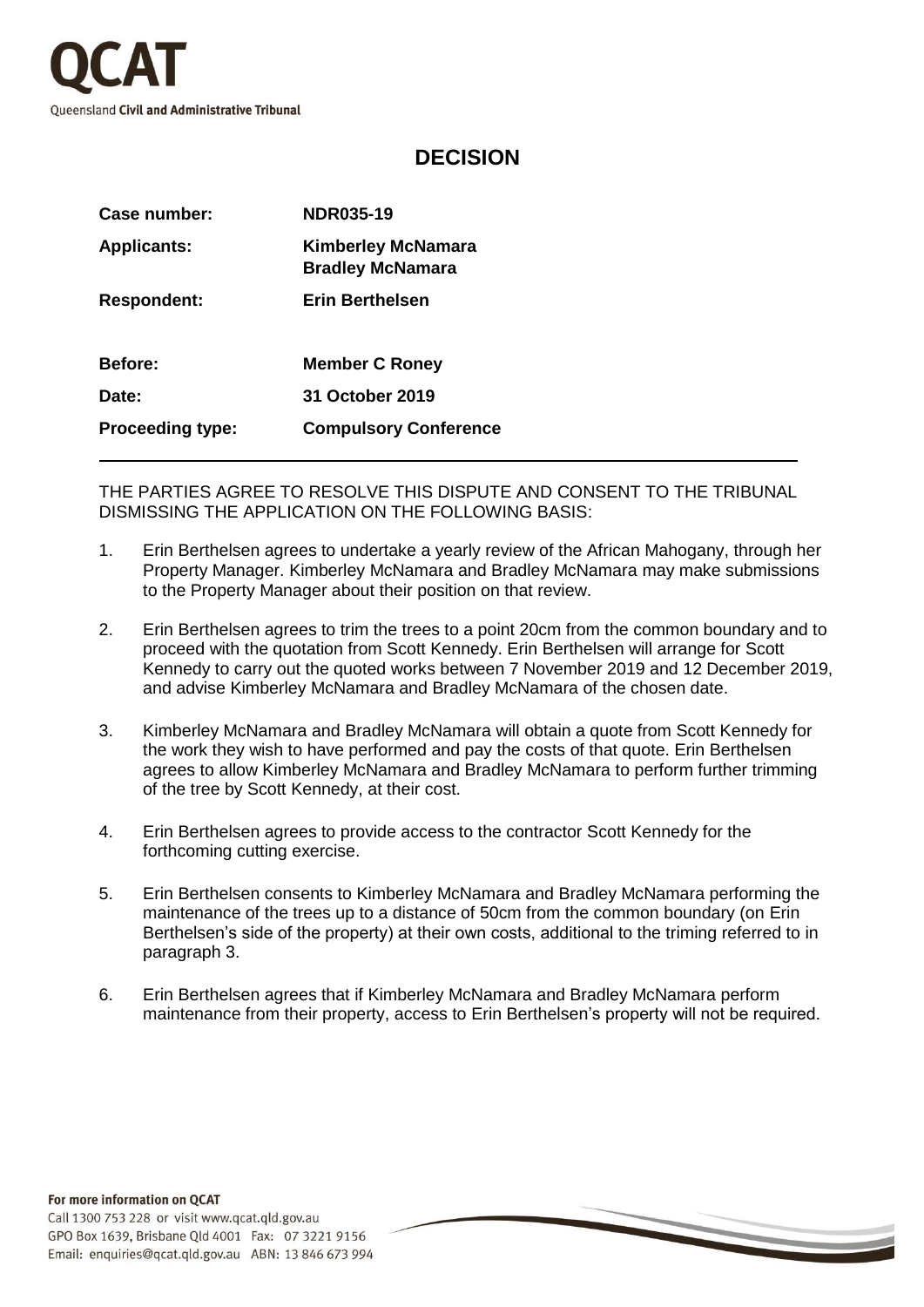

## **DECISION**

| Case number:            | <b>NDR035-19</b>                                     |
|-------------------------|------------------------------------------------------|
| <b>Applicants:</b>      | <b>Kimberley McNamara</b><br><b>Bradley McNamara</b> |
| <b>Respondent:</b>      | <b>Erin Berthelsen</b>                               |
| <b>Before:</b>          | <b>Member C Roney</b>                                |
| Date:                   | 31 October 2019                                      |
| <b>Proceeding type:</b> | <b>Compulsory Conference</b>                         |

THE PARTIES AGREE TO RESOLVE THIS DISPUTE AND CONSENT TO THE TRIBUNAL DISMISSING THE APPLICATION ON THE FOLLOWING BASIS:

- 1. Erin Berthelsen agrees to undertake a yearly review of the African Mahogany, through her Property Manager. Kimberley McNamara and Bradley McNamara may make submissions to the Property Manager about their position on that review.
- 2. Erin Berthelsen agrees to trim the trees to a point 20cm from the common boundary and to proceed with the quotation from Scott Kennedy. Erin Berthelsen will arrange for Scott Kennedy to carry out the quoted works between 7 November 2019 and 12 December 2019, and advise Kimberley McNamara and Bradley McNamara of the chosen date.
- 3. Kimberley McNamara and Bradley McNamara will obtain a quote from Scott Kennedy for the work they wish to have performed and pay the costs of that quote. Erin Berthelsen agrees to allow Kimberley McNamara and Bradley McNamara to perform further trimming of the tree by Scott Kennedy, at their cost.
- 4. Erin Berthelsen agrees to provide access to the contractor Scott Kennedy for the forthcoming cutting exercise.
- 5. Erin Berthelsen consents to Kimberley McNamara and Bradley McNamara performing the maintenance of the trees up to a distance of 50cm from the common boundary (on Erin Berthelsen's side of the property) at their own costs, additional to the triming referred to in paragraph 3.
- 6. Erin Berthelsen agrees that if Kimberley McNamara and Bradley McNamara perform maintenance from their property, access to Erin Berthelsen's property will not be required.